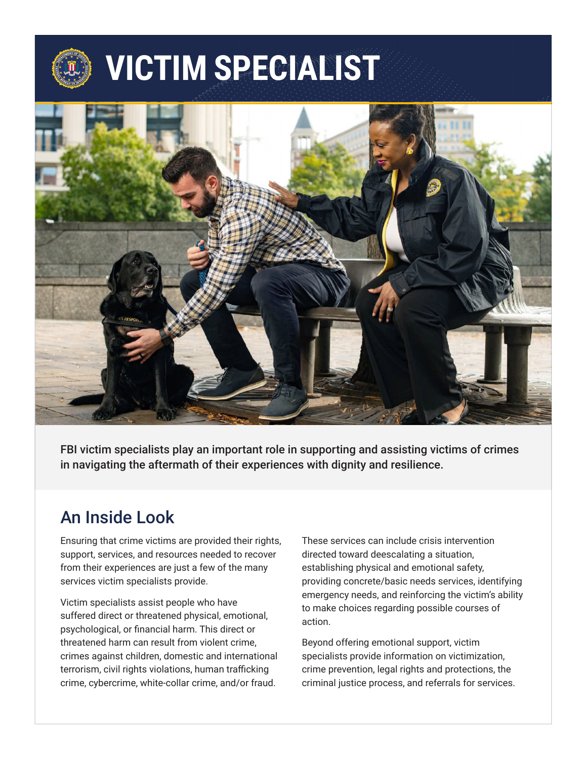# **VICTIM SPECIALIST**



FBI victim specialists play an important role in supporting and assisting victims of crimes in navigating the aftermath of their experiences with dignity and resilience.

#### An Inside Look

Ensuring that crime victims are provided their rights, support, services, and resources needed to recover from their experiences are just a few of the many services victim specialists provide.

Victim specialists assist people who have suffered direct or threatened physical, emotional, psychological, or financial harm. This direct or threatened harm can result from violent crime, crimes against children, domestic and international terrorism, civil rights violations, human trafficking crime, cybercrime, white-collar crime, and/or fraud.

These services can include crisis intervention directed toward deescalating a situation, establishing physical and emotional safety, providing concrete/basic needs services, identifying emergency needs, and reinforcing the victim's ability to make choices regarding possible courses of action.

Beyond offering emotional support, victim specialists provide information on victimization, crime prevention, legal rights and protections, the criminal justice process, and referrals for services.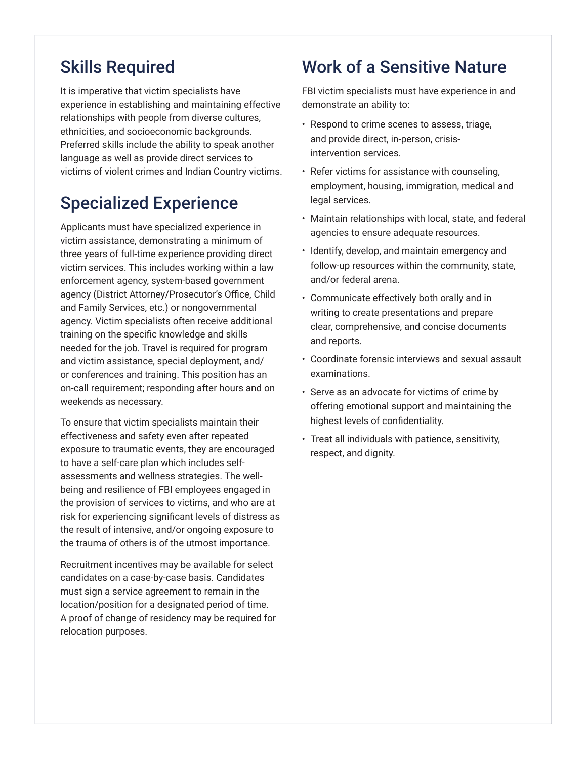## Skills Required

It is imperative that victim specialists have experience in establishing and maintaining effective relationships with people from diverse cultures, ethnicities, and socioeconomic backgrounds. Preferred skills include the ability to speak another language as well as provide direct services to victims of violent crimes and Indian Country victims.

## Specialized Experience

Applicants must have specialized experience in victim assistance, demonstrating a minimum of three years of full-time experience providing direct victim services. This includes working within a law enforcement agency, system-based government agency (District Attorney/Prosecutor's Office, Child and Family Services, etc.) or nongovernmental agency. Victim specialists often receive additional training on the specific knowledge and skills needed for the job. Travel is required for program and victim assistance, special deployment, and/ or conferences and training. This position has an on-call requirement; responding after hours and on weekends as necessary.

To ensure that victim specialists maintain their effectiveness and safety even after repeated exposure to traumatic events, they are encouraged to have a self-care plan which includes selfassessments and wellness strategies. The wellbeing and resilience of FBI employees engaged in the provision of services to victims, and who are at risk for experiencing significant levels of distress as the result of intensive, and/or ongoing exposure to the trauma of others is of the utmost importance.

Recruitment incentives may be available for select candidates on a case-by-case basis. Candidates must sign a service agreement to remain in the location/position for a designated period of time. A proof of change of residency may be required for relocation purposes.

#### Work of a Sensitive Nature

FBI victim specialists must have experience in and demonstrate an ability to:

- Respond to crime scenes to assess, triage, and provide direct, in-person, crisisintervention services.
- Refer victims for assistance with counseling, employment, housing, immigration, medical and legal services.
- Maintain relationships with local, state, and federal agencies to ensure adequate resources.
- Identify, develop, and maintain emergency and follow-up resources within the community, state, and/or federal arena.
- Communicate effectively both orally and in writing to create presentations and prepare clear, comprehensive, and concise documents and reports.
- Coordinate forensic interviews and sexual assault examinations.
- Serve as an advocate for victims of crime by offering emotional support and maintaining the highest levels of confidentiality.
- Treat all individuals with patience, sensitivity, respect, and dignity.